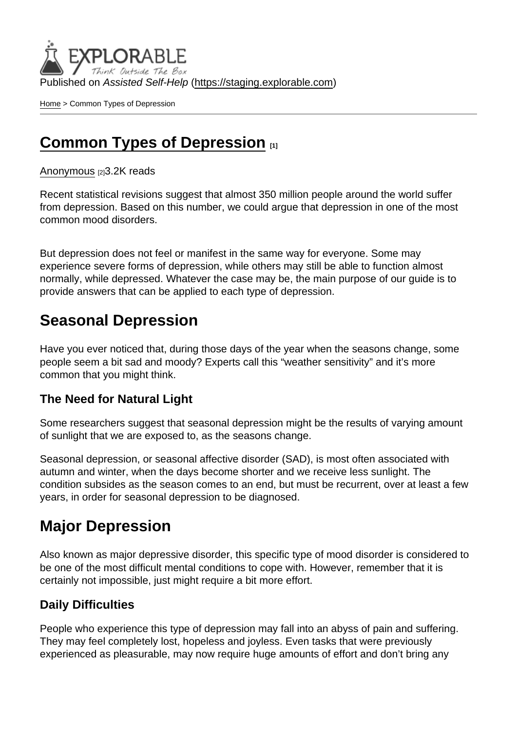Published on Assisted Self-Help [\(https://staging.explorable.com](https://staging.explorable.com))

[Home](https://staging.explorable.com/en) > Common Types of Depression

## [Common Types of Depression](https://staging.explorable.com/en/e/common-types-of-depression) [1]

#### [Anonymous](https://staging.explorable.com/en/users/Liya Panayotova) [2]3.2K reads

Recent statistical revisions suggest that almost 350 million people around the world suffer from depression. Based on this number, we could argue that depression in one of the most common mood disorders.

But depression does not feel or manifest in the same way for everyone. Some may experience severe forms of depression, while others may still be able to function almost normally, while depressed. Whatever the case may be, the main purpose of our guide is to provide answers that can be applied to each type of depression.

## Seasonal Depression

Have you ever noticed that, during those days of the year when the seasons change, some people seem a bit sad and moody? Experts call this "weather sensitivity" and it's more common that you might think.

#### The Need for Natural Light

Some researchers suggest that seasonal depression might be the results of varying amount of sunlight that we are exposed to, as the seasons change.

Seasonal depression, or seasonal affective disorder (SAD), is most often associated with autumn and winter, when the days become shorter and we receive less sunlight. The condition subsides as the season comes to an end, but must be recurrent, over at least a few years, in order for seasonal depression to be diagnosed.

### Major Depression

Also known as major depressive disorder, this specific type of mood disorder is considered to be one of the most difficult mental conditions to cope with. However, remember that it is certainly not impossible, just might require a bit more effort.

#### Daily Difficulties

People who experience this type of depression may fall into an abyss of pain and suffering. They may feel completely lost, hopeless and joyless. Even tasks that were previously experienced as pleasurable, may now require huge amounts of effort and don't bring any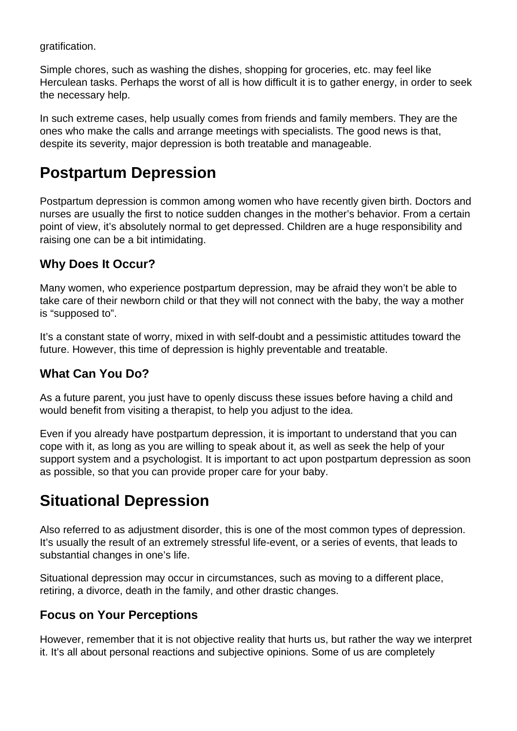gratification.

Simple chores, such as washing the dishes, shopping for groceries, etc. may feel like Herculean tasks. Perhaps the worst of all is how difficult it is to gather energy, in order to seek the necessary help.

In such extreme cases, help usually comes from friends and family members. They are the ones who make the calls and arrange meetings with specialists. The good news is that, despite its severity, major depression is both treatable and manageable.

## **Postpartum Depression**

Postpartum depression is common among women who have recently given birth. Doctors and nurses are usually the first to notice sudden changes in the mother's behavior. From a certain point of view, it's absolutely normal to get depressed. Children are a huge responsibility and raising one can be a bit intimidating.

### **Why Does It Occur?**

Many women, who experience postpartum depression, may be afraid they won't be able to take care of their newborn child or that they will not connect with the baby, the way a mother is "supposed to".

It's a constant state of worry, mixed in with self-doubt and a pessimistic attitudes toward the future. However, this time of depression is highly preventable and treatable.

### **What Can You Do?**

As a future parent, you just have to openly discuss these issues before having a child and would benefit from visiting a therapist, to help you adjust to the idea.

Even if you already have postpartum depression, it is important to understand that you can cope with it, as long as you are willing to speak about it, as well as seek the help of your support system and a psychologist. It is important to act upon postpartum depression as soon as possible, so that you can provide proper care for your baby.

# **Situational Depression**

Also referred to as adjustment disorder, this is one of the most common types of depression. It's usually the result of an extremely stressful life-event, or a series of events, that leads to substantial changes in one's life.

Situational depression may occur in circumstances, such as moving to a different place, retiring, a divorce, death in the family, and other drastic changes.

### **Focus on Your Perceptions**

However, remember that it is not objective reality that hurts us, but rather the way we interpret it. It's all about personal reactions and subjective opinions. Some of us are completely